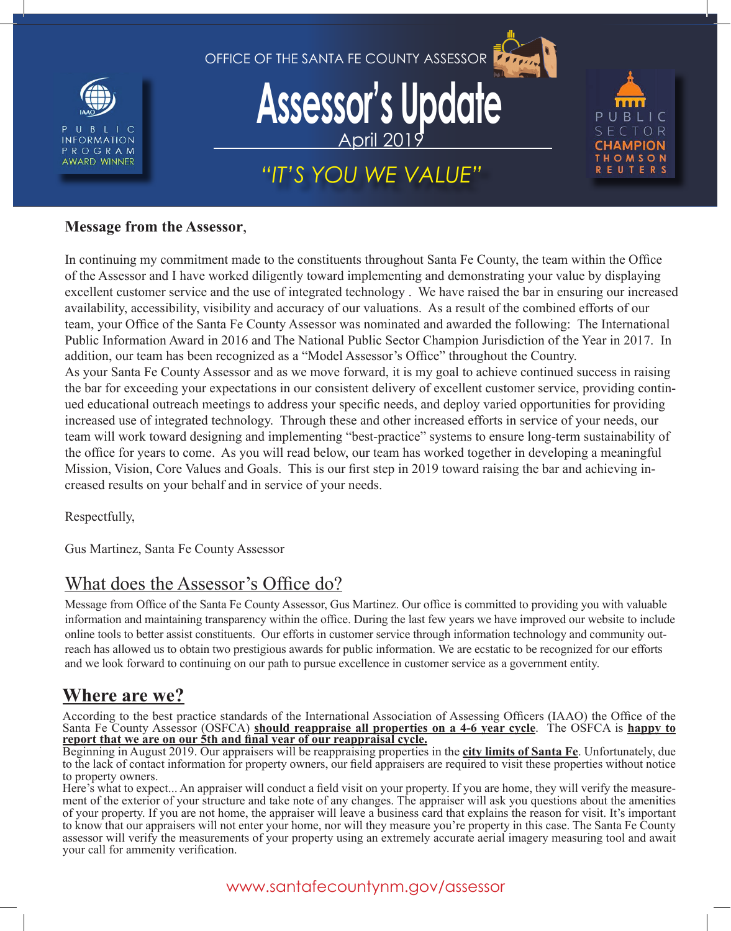



#### **Message from the Assessor**,

In continuing my commitment made to the constituents throughout Santa Fe County, the team within the Office of the Assessor and I have worked diligently toward implementing and demonstrating your value by displaying excellent customer service and the use of integrated technology . We have raised the bar in ensuring our increased availability, accessibility, visibility and accuracy of our valuations. As a result of the combined efforts of our team, your Office of the Santa Fe County Assessor was nominated and awarded the following: The International Public Information Award in 2016 and The National Public Sector Champion Jurisdiction of the Year in 2017. In addition, our team has been recognized as a "Model Assessor's Office" throughout the Country. As your Santa Fe County Assessor and as we move forward, it is my goal to achieve continued success in raising the bar for exceeding your expectations in our consistent delivery of excellent customer service, providing continued educational outreach meetings to address your specific needs, and deploy varied opportunities for providing increased use of integrated technology. Through these and other increased efforts in service of your needs, our team will work toward designing and implementing "best-practice" systems to ensure long-term sustainability of the office for years to come. As you will read below, our team has worked together in developing a meaningful Mission, Vision, Core Values and Goals. This is our first step in 2019 toward raising the bar and achieving increased results on your behalf and in service of your needs.

Respectfully,

Gus Martinez, Santa Fe County Assessor

### What does the Assessor's Office do?

Message from Office of the Santa Fe County Assessor, Gus Martinez. Our office is committed to providing you with valuable information and maintaining transparency within the office. During the last few years we have improved our website to include online tools to better assist constituents. Our efforts in customer service through information technology and community outreach has allowed us to obtain two prestigious awards for public information. We are ecstatic to be recognized for our efforts and we look forward to continuing on our path to pursue excellence in customer service as a government entity.

### **Where are we?**

According to the best practice standards of the International Association of Assessing Officers (IAAO) the Office of the Santa Fe County Assessor (OSFCA) **should reappraise all properties on a 4-6 year cycle**. The OSFCA is **happy to report that we are on our 5th and final year of our reappraisal cycle.**

Beginning in August 2019. Our appraisers will be reappraising properties in the **city limits of Santa Fe**. Unfortunately, due to the lack of contact information for property owners, our field appraisers are required to visit these properties without notice to property owners.

Here's what to expect... An appraiser will conduct a field visit on your property. If you are home, they will verify the measurement of the exterior of your structure and take note of any changes. The appraiser will ask you questions about the amenities of your property. If you are not home, the appraiser will leave a business card that explains the reason for visit. It's important to know that our appraisers will not enter your home, nor will they measure you're property in this case. The Santa Fe County assessor will verify the measurements of your property using an extremely accurate aerial imagery measuring tool and await your call for ammenity verification.